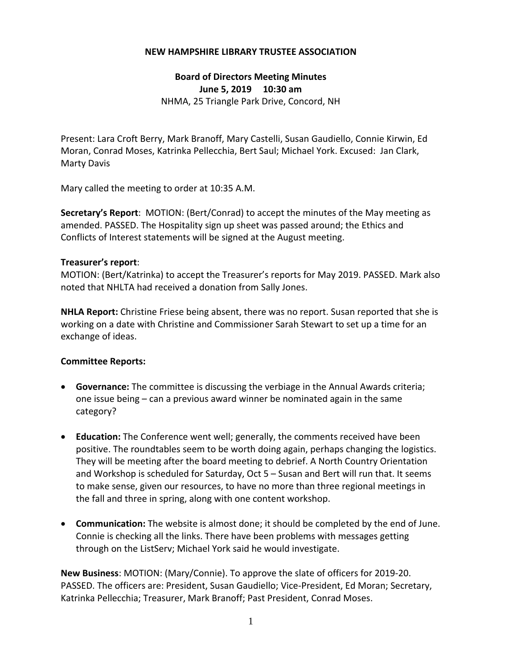## **NEW HAMPSHIRE LIBRARY TRUSTEE ASSOCIATION**

## **Board of Directors Meeting Minutes June 5, 2019 10:30 am** NHMA, 25 Triangle Park Drive, Concord, NH

Present: Lara Croft Berry, Mark Branoff, Mary Castelli, Susan Gaudiello, Connie Kirwin, Ed Moran, Conrad Moses, Katrinka Pellecchia, Bert Saul; Michael York. Excused: Jan Clark, Marty Davis

Mary called the meeting to order at 10:35 A.M.

**Secretary's Report**: MOTION: (Bert/Conrad) to accept the minutes of the May meeting as amended. PASSED. The Hospitality sign up sheet was passed around; the Ethics and Conflicts of Interest statements will be signed at the August meeting.

## **Treasurer's report**:

MOTION: (Bert/Katrinka) to accept the Treasurer's reports for May 2019. PASSED. Mark also noted that NHLTA had received a donation from Sally Jones.

**NHLA Report:** Christine Friese being absent, there was no report. Susan reported that she is working on a date with Christine and Commissioner Sarah Stewart to set up a time for an exchange of ideas.

## **Committee Reports:**

- **Governance:** The committee is discussing the verbiage in the Annual Awards criteria; one issue being – can a previous award winner be nominated again in the same category?
- **Education:** The Conference went well; generally, the comments received have been positive. The roundtables seem to be worth doing again, perhaps changing the logistics. They will be meeting after the board meeting to debrief. A North Country Orientation and Workshop is scheduled for Saturday, Oct 5 – Susan and Bert will run that. It seems to make sense, given our resources, to have no more than three regional meetings in the fall and three in spring, along with one content workshop.
- **Communication:** The website is almost done; it should be completed by the end of June. Connie is checking all the links. There have been problems with messages getting through on the ListServ; Michael York said he would investigate.

**New Business**: MOTION: (Mary/Connie). To approve the slate of officers for 2019‐20. PASSED. The officers are: President, Susan Gaudiello; Vice‐President, Ed Moran; Secretary, Katrinka Pellecchia; Treasurer, Mark Branoff; Past President, Conrad Moses.